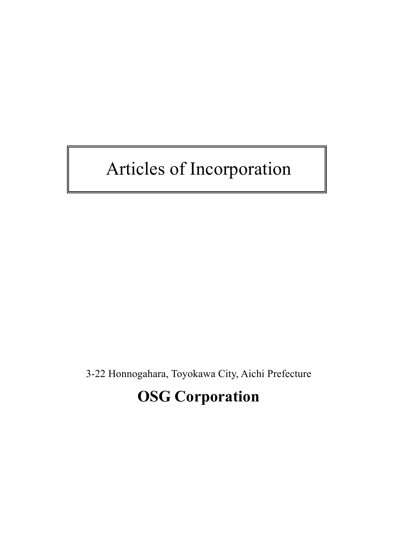# Articles of Incorporation

3-22 Honnogahara, Toyokawa City, Aichi Prefecture

## **OSG Corporation**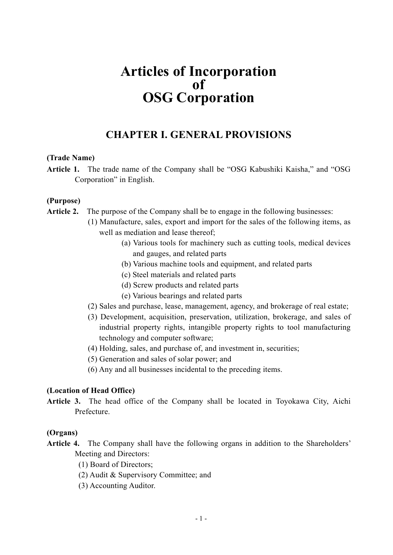## **Articles of Incorporation of OSG Corporation**

### **CHAPTER I. GENERAL PROVISIONS**

#### **(Trade Name)**

**Article 1.** The trade name of the Company shall be "OSG Kabushiki Kaisha," and "OSG Corporation" in English.

#### **(Purpose)**

- **Article 2.** The purpose of the Company shall be to engage in the following businesses:
	- (1) Manufacture, sales, export and import for the sales of the following items, as well as mediation and lease thereof;
		- (a) Various tools for machinery such as cutting tools, medical devices and gauges, and related parts
		- (b) Various machine tools and equipment, and related parts
		- (c) Steel materials and related parts
		- (d) Screw products and related parts
		- (e) Various bearings and related parts
	- (2) Sales and purchase, lease, management, agency, and brokerage of real estate;
	- (3) Development, acquisition, preservation, utilization, brokerage, and sales of industrial property rights, intangible property rights to tool manufacturing technology and computer software;
	- (4) Holding, sales, and purchase of, and investment in, securities;
	- (5) Generation and sales of solar power; and
	- (6) Any and all businesses incidental to the preceding items.

#### **(Location of Head Office)**

**Article 3.** The head office of the Company shall be located in Toyokawa City, Aichi Prefecture.

#### **(Organs)**

- **Article 4.** The Company shall have the following organs in addition to the Shareholders' Meeting and Directors:
	- (1) Board of Directors;
	- (2) Audit & Supervisory Committee; and
	- (3) Accounting Auditor.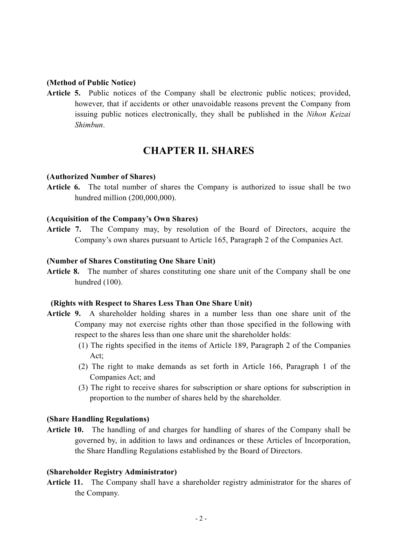#### **(Method of Public Notice)**

**Article 5.** Public notices of the Company shall be electronic public notices; provided, however, that if accidents or other unavoidable reasons prevent the Company from issuing public notices electronically, they shall be published in the *Nihon Keizai Shimbun*.

## **CHAPTER II. SHARES**

#### **(Authorized Number of Shares)**

**Article 6.** The total number of shares the Company is authorized to issue shall be two hundred million (200,000,000).

#### **(Acquisition of the Company's Own Shares)**

**Article 7.** The Company may, by resolution of the Board of Directors, acquire the Company's own shares pursuant to Article 165, Paragraph 2 of the Companies Act.

#### **(Number of Shares Constituting One Share Unit)**

Article 8. The number of shares constituting one share unit of the Company shall be one hundred (100).

#### **(Rights with Respect to Shares Less Than One Share Unit)**

- **Article 9.** A shareholder holding shares in a number less than one share unit of the Company may not exercise rights other than those specified in the following with respect to the shares less than one share unit the shareholder holds:
	- (1) The rights specified in the items of Article 189, Paragraph 2 of the Companies Act;
	- (2) The right to make demands as set forth in Article 166, Paragraph 1 of the Companies Act; and
	- (3) The right to receive shares for subscription or share options for subscription in proportion to the number of shares held by the shareholder.

#### **(Share Handling Regulations)**

**Article 10.** The handling of and charges for handling of shares of the Company shall be governed by, in addition to laws and ordinances or these Articles of Incorporation, the Share Handling Regulations established by the Board of Directors.

#### **(Shareholder Registry Administrator)**

**Article 11.** The Company shall have a shareholder registry administrator for the shares of the Company.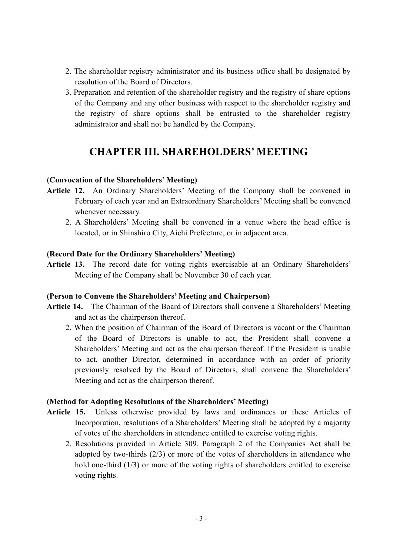- 2. The shareholder registry administrator and its business office shall be designated by resolution of the Board of Directors.
- 3. Preparation and retention of the shareholder registry and the registry of share options of the Company and any other business with respect to the shareholder registry and the registry of share options shall be entrusted to the shareholder registry administrator and shall not be handled by the Company.

## **CHAPTER III. SHAREHOLDERS' MEETING**

#### **(Convocation of the Shareholders' Meeting)**

- **Article 12.** An Ordinary Shareholders' Meeting of the Company shall be convened in February of each year and an Extraordinary Shareholders' Meeting shall be convened whenever necessary.
	- 2. A Shareholders' Meeting shall be convened in a venue where the head office is located, or in Shinshiro City, Aichi Prefecture, or in adjacent area.

#### **(Record Date for the Ordinary Shareholders' Meeting)**

**Article 13.** The record date for voting rights exercisable at an Ordinary Shareholders' Meeting of the Company shall be November 30 of each year.

#### **(Person to Convene the Shareholders' Meeting and Chairperson)**

- **Article 14.** The Chairman of the Board of Directors shall convene a Shareholders' Meeting and act as the chairperson thereof.
	- 2. When the position of Chairman of the Board of Directors is vacant or the Chairman of the Board of Directors is unable to act, the President shall convene a Shareholders' Meeting and act as the chairperson thereof. If the President is unable to act, another Director, determined in accordance with an order of priority previously resolved by the Board of Directors, shall convene the Shareholders' Meeting and act as the chairperson thereof.

#### **(Method for Adopting Resolutions of the Shareholders' Meeting)**

- **Article 15.** Unless otherwise provided by laws and ordinances or these Articles of Incorporation, resolutions of a Shareholders' Meeting shall be adopted by a majority of votes of the shareholders in attendance entitled to exercise voting rights.
	- 2. Resolutions provided in Article 309, Paragraph 2 of the Companies Act shall be adopted by two-thirds (2/3) or more of the votes of shareholders in attendance who hold one-third (1/3) or more of the voting rights of shareholders entitled to exercise voting rights.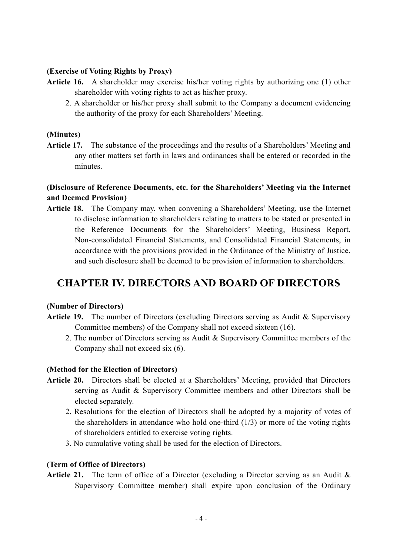#### **(Exercise of Voting Rights by Proxy)**

- **Article 16.** A shareholder may exercise his/her voting rights by authorizing one (1) other shareholder with voting rights to act as his/her proxy.
	- 2. A shareholder or his/her proxy shall submit to the Company a document evidencing the authority of the proxy for each Shareholders' Meeting.

#### **(Minutes)**

**Article 17.** The substance of the proceedings and the results of a Shareholders' Meeting and any other matters set forth in laws and ordinances shall be entered or recorded in the minutes.

#### **(Disclosure of Reference Documents, etc. for the Shareholders' Meeting via the Internet and Deemed Provision)**

**Article 18.** The Company may, when convening a Shareholders' Meeting, use the Internet to disclose information to shareholders relating to matters to be stated or presented in the Reference Documents for the Shareholders' Meeting, Business Report, Non-consolidated Financial Statements, and Consolidated Financial Statements, in accordance with the provisions provided in the Ordinance of the Ministry of Justice, and such disclosure shall be deemed to be provision of information to shareholders.

## **CHAPTER IV. DIRECTORS AND BOARD OF DIRECTORS**

#### **(Number of Directors)**

- **Article 19.** The number of Directors (excluding Directors serving as Audit & Supervisory Committee members) of the Company shall not exceed sixteen (16).
	- 2. The number of Directors serving as Audit & Supervisory Committee members of the Company shall not exceed six (6).

#### **(Method for the Election of Directors)**

- **Article 20.** Directors shall be elected at a Shareholders' Meeting, provided that Directors serving as Audit & Supervisory Committee members and other Directors shall be elected separately.
	- 2. Resolutions for the election of Directors shall be adopted by a majority of votes of the shareholders in attendance who hold one-third  $(1/3)$  or more of the voting rights of shareholders entitled to exercise voting rights.
	- 3. No cumulative voting shall be used for the election of Directors.

#### **(Term of Office of Directors)**

**Article 21.** The term of office of a Director (excluding a Director serving as an Audit & Supervisory Committee member) shall expire upon conclusion of the Ordinary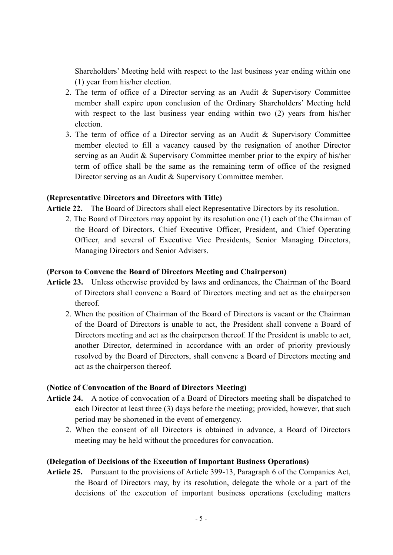Shareholders' Meeting held with respect to the last business year ending within one (1) year from his/her election.

- 2. The term of office of a Director serving as an Audit & Supervisory Committee member shall expire upon conclusion of the Ordinary Shareholders' Meeting held with respect to the last business year ending within two (2) years from his/her election.
- 3. The term of office of a Director serving as an Audit & Supervisory Committee member elected to fill a vacancy caused by the resignation of another Director serving as an Audit & Supervisory Committee member prior to the expiry of his/her term of office shall be the same as the remaining term of office of the resigned Director serving as an Audit & Supervisory Committee member.

#### **(Representative Directors and Directors with Title)**

**Article 22.** The Board of Directors shall elect Representative Directors by its resolution.

2. The Board of Directors may appoint by its resolution one (1) each of the Chairman of the Board of Directors, Chief Executive Officer, President, and Chief Operating Officer, and several of Executive Vice Presidents, Senior Managing Directors, Managing Directors and Senior Advisers.

#### **(Person to Convene the Board of Directors Meeting and Chairperson)**

- **Article 23.** Unless otherwise provided by laws and ordinances, the Chairman of the Board of Directors shall convene a Board of Directors meeting and act as the chairperson thereof.
	- 2. When the position of Chairman of the Board of Directors is vacant or the Chairman of the Board of Directors is unable to act, the President shall convene a Board of Directors meeting and act as the chairperson thereof. If the President is unable to act, another Director, determined in accordance with an order of priority previously resolved by the Board of Directors, shall convene a Board of Directors meeting and act as the chairperson thereof.

#### **(Notice of Convocation of the Board of Directors Meeting)**

- **Article 24.** A notice of convocation of a Board of Directors meeting shall be dispatched to each Director at least three (3) days before the meeting; provided, however, that such period may be shortened in the event of emergency.
	- 2. When the consent of all Directors is obtained in advance, a Board of Directors meeting may be held without the procedures for convocation.

#### **(Delegation of Decisions of the Execution of Important Business Operations)**

**Article 25.** Pursuant to the provisions of Article 399-13, Paragraph 6 of the Companies Act, the Board of Directors may, by its resolution, delegate the whole or a part of the decisions of the execution of important business operations (excluding matters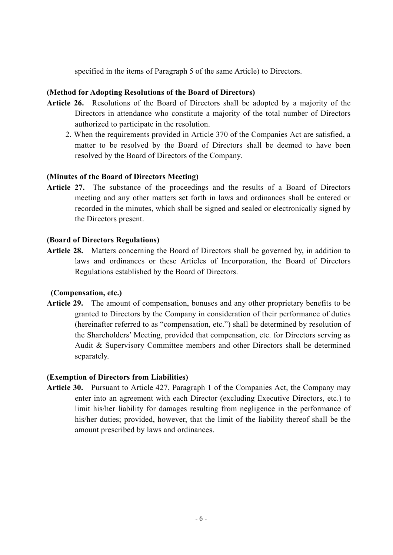specified in the items of Paragraph 5 of the same Article) to Directors.

#### **(Method for Adopting Resolutions of the Board of Directors)**

- **Article 26.** Resolutions of the Board of Directors shall be adopted by a majority of the Directors in attendance who constitute a majority of the total number of Directors authorized to participate in the resolution.
	- 2. When the requirements provided in Article 370 of the Companies Act are satisfied, a matter to be resolved by the Board of Directors shall be deemed to have been resolved by the Board of Directors of the Company.

#### **(Minutes of the Board of Directors Meeting)**

**Article 27.** The substance of the proceedings and the results of a Board of Directors meeting and any other matters set forth in laws and ordinances shall be entered or recorded in the minutes, which shall be signed and sealed or electronically signed by the Directors present.

#### **(Board of Directors Regulations)**

**Article 28.** Matters concerning the Board of Directors shall be governed by, in addition to laws and ordinances or these Articles of Incorporation, the Board of Directors Regulations established by the Board of Directors.

#### **(Compensation, etc.)**

**Article 29.** The amount of compensation, bonuses and any other proprietary benefits to be granted to Directors by the Company in consideration of their performance of duties (hereinafter referred to as "compensation, etc.") shall be determined by resolution of the Shareholders' Meeting, provided that compensation, etc. for Directors serving as Audit & Supervisory Committee members and other Directors shall be determined separately.

#### **(Exemption of Directors from Liabilities)**

**Article 30.** Pursuant to Article 427, Paragraph 1 of the Companies Act, the Company may enter into an agreement with each Director (excluding Executive Directors, etc.) to limit his/her liability for damages resulting from negligence in the performance of his/her duties; provided, however, that the limit of the liability thereof shall be the amount prescribed by laws and ordinances.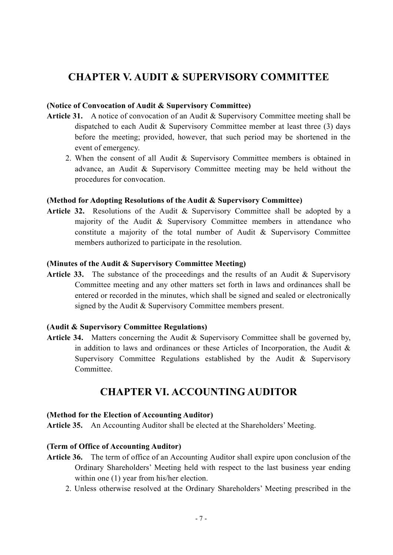## **CHAPTER V. AUDIT & SUPERVISORY COMMITTEE**

#### **(Notice of Convocation of Audit & Supervisory Committee)**

- Article 31. A notice of convocation of an Audit & Supervisory Committee meeting shall be dispatched to each Audit & Supervisory Committee member at least three (3) days before the meeting; provided, however, that such period may be shortened in the event of emergency.
	- 2. When the consent of all Audit & Supervisory Committee members is obtained in advance, an Audit & Supervisory Committee meeting may be held without the procedures for convocation.

#### **(Method for Adopting Resolutions of the Audit & Supervisory Committee)**

**Article 32.** Resolutions of the Audit & Supervisory Committee shall be adopted by a majority of the Audit & Supervisory Committee members in attendance who constitute a majority of the total number of Audit & Supervisory Committee members authorized to participate in the resolution.

#### **(Minutes of the Audit & Supervisory Committee Meeting)**

Article 33. The substance of the proceedings and the results of an Audit & Supervisory Committee meeting and any other matters set forth in laws and ordinances shall be entered or recorded in the minutes, which shall be signed and sealed or electronically signed by the Audit & Supervisory Committee members present.

#### **(Audit & Supervisory Committee Regulations)**

Article 34. Matters concerning the Audit & Supervisory Committee shall be governed by, in addition to laws and ordinances or these Articles of Incorporation, the Audit & Supervisory Committee Regulations established by the Audit & Supervisory **Committee** 

## **CHAPTER VI. ACCOUNTING AUDITOR**

#### **(Method for the Election of Accounting Auditor)**

**Article 35.** An Accounting Auditor shall be elected at the Shareholders' Meeting.

#### **(Term of Office of Accounting Auditor)**

- **Article 36.** The term of office of an Accounting Auditor shall expire upon conclusion of the Ordinary Shareholders' Meeting held with respect to the last business year ending within one (1) year from his/her election.
	- 2. Unless otherwise resolved at the Ordinary Shareholders' Meeting prescribed in the